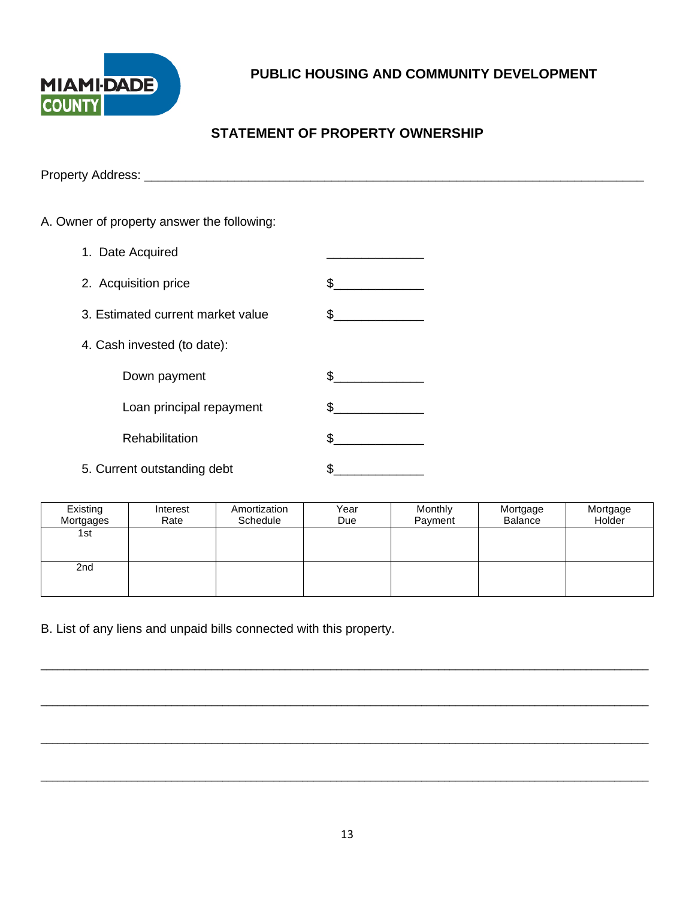

## **STATEMENT OF PROPERTY OWNERSHIP**

Property Address: \_\_\_\_\_\_\_\_\_\_\_\_\_\_\_\_\_\_\_\_\_\_\_\_\_\_\_\_\_\_\_\_\_\_\_\_\_\_\_\_\_\_\_\_\_\_\_\_\_\_\_\_\_\_\_\_\_\_\_\_\_\_\_\_\_\_\_\_\_\_\_\_

### A. Owner of property answer the following:

| 1. Date Acquired                  |    |
|-----------------------------------|----|
| 2. Acquisition price              | \$ |
| 3. Estimated current market value | \$ |
| 4. Cash invested (to date):       |    |
| Down payment                      | \$ |
| Loan principal repayment          | \$ |
| Rehabilitation                    |    |
| 5. Current outstanding debt       |    |

| Existing<br>Mortgages | Interest<br>Rate | Amortization<br>Schedule | Year<br>Due | Monthly<br>Payment | Mortgage<br>Balance | Mortgage<br>Holder |
|-----------------------|------------------|--------------------------|-------------|--------------------|---------------------|--------------------|
| 1st                   |                  |                          |             |                    |                     |                    |
| 2nd                   |                  |                          |             |                    |                     |                    |
|                       |                  |                          |             |                    |                     |                    |

\_\_\_\_\_\_\_\_\_\_\_\_\_\_\_\_\_\_\_\_\_\_\_\_\_\_\_\_\_\_\_\_\_\_\_\_\_\_\_\_\_\_\_\_\_\_\_\_\_\_\_\_\_\_\_\_\_\_\_\_\_\_\_\_\_\_\_\_\_\_\_\_\_\_\_\_\_\_\_\_\_\_\_\_\_\_\_\_\_\_\_\_\_\_\_\_\_\_\_\_\_\_\_\_\_\_\_

\_\_\_\_\_\_\_\_\_\_\_\_\_\_\_\_\_\_\_\_\_\_\_\_\_\_\_\_\_\_\_\_\_\_\_\_\_\_\_\_\_\_\_\_\_\_\_\_\_\_\_\_\_\_\_\_\_\_\_\_\_\_\_\_\_\_\_\_\_\_\_\_\_\_\_\_\_\_\_\_\_\_\_\_\_\_\_\_\_\_\_\_\_\_\_\_\_\_\_\_\_\_\_\_\_\_\_

\_\_\_\_\_\_\_\_\_\_\_\_\_\_\_\_\_\_\_\_\_\_\_\_\_\_\_\_\_\_\_\_\_\_\_\_\_\_\_\_\_\_\_\_\_\_\_\_\_\_\_\_\_\_\_\_\_\_\_\_\_\_\_\_\_\_\_\_\_\_\_\_\_\_\_\_\_\_\_\_\_\_\_\_\_\_\_\_\_\_\_\_\_\_\_\_\_\_\_\_\_\_\_\_\_\_\_

\_\_\_\_\_\_\_\_\_\_\_\_\_\_\_\_\_\_\_\_\_\_\_\_\_\_\_\_\_\_\_\_\_\_\_\_\_\_\_\_\_\_\_\_\_\_\_\_\_\_\_\_\_\_\_\_\_\_\_\_\_\_\_\_\_\_\_\_\_\_\_\_\_\_\_\_\_\_\_\_\_\_\_\_\_\_\_\_\_\_\_\_\_\_\_\_\_\_\_\_\_\_\_\_\_\_\_

B. List of any liens and unpaid bills connected with this property.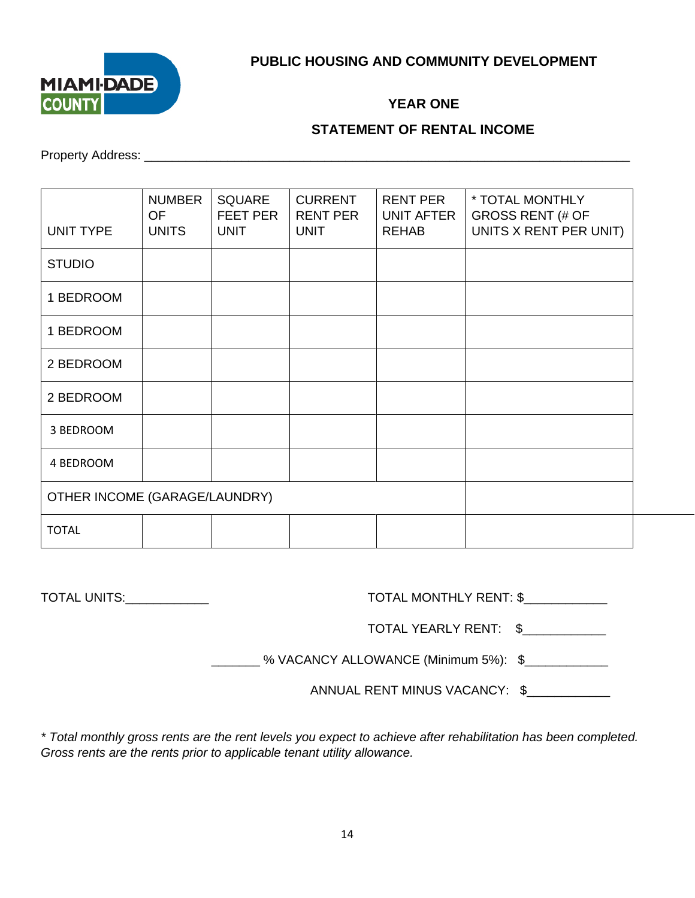

### **YEAR ONE**

#### **STATEMENT OF RENTAL INCOME**

Property Address: \_\_\_\_\_\_\_\_\_\_\_\_\_\_\_\_\_\_\_\_\_\_\_\_\_\_\_\_\_\_\_\_\_\_\_\_\_\_\_\_\_\_\_\_\_\_\_\_\_\_\_\_\_\_\_\_\_\_\_\_\_\_\_\_\_\_\_\_\_\_

| <b>UNIT TYPE</b>              | <b>NUMBER</b><br><b>OF</b><br><b>UNITS</b> | <b>SQUARE</b><br><b>FEET PER</b><br><b>UNIT</b> | <b>CURRENT</b><br><b>RENT PER</b><br><b>UNIT</b> | <b>RENT PER</b><br><b>UNIT AFTER</b><br><b>REHAB</b> | * TOTAL MONTHLY<br><b>GROSS RENT (# OF</b><br>UNITS X RENT PER UNIT) |
|-------------------------------|--------------------------------------------|-------------------------------------------------|--------------------------------------------------|------------------------------------------------------|----------------------------------------------------------------------|
| <b>STUDIO</b>                 |                                            |                                                 |                                                  |                                                      |                                                                      |
| 1 BEDROOM                     |                                            |                                                 |                                                  |                                                      |                                                                      |
| 1 BEDROOM                     |                                            |                                                 |                                                  |                                                      |                                                                      |
| 2 BEDROOM                     |                                            |                                                 |                                                  |                                                      |                                                                      |
| 2 BEDROOM                     |                                            |                                                 |                                                  |                                                      |                                                                      |
| 3 BEDROOM                     |                                            |                                                 |                                                  |                                                      |                                                                      |
| 4 BEDROOM                     |                                            |                                                 |                                                  |                                                      |                                                                      |
| OTHER INCOME (GARAGE/LAUNDRY) |                                            |                                                 |                                                  |                                                      |                                                                      |
| <b>TOTAL</b>                  |                                            |                                                 |                                                  |                                                      |                                                                      |

| TOTAL UNITS: TOTAL UNITS: | TOTAL MONTHLY RENT: \$               |
|---------------------------|--------------------------------------|
|                           | TOTAL YEARLY RENT: \$                |
|                           | % VACANCY ALLOWANCE (Minimum 5%): \$ |
|                           | ANNUAL RENT MINUS VACANCY: \$        |
|                           |                                      |

*\* Total monthly gross rents are the rent levels you expect to achieve after rehabilitation has been completed. Gross rents are the rents prior to applicable tenant utility allowance.*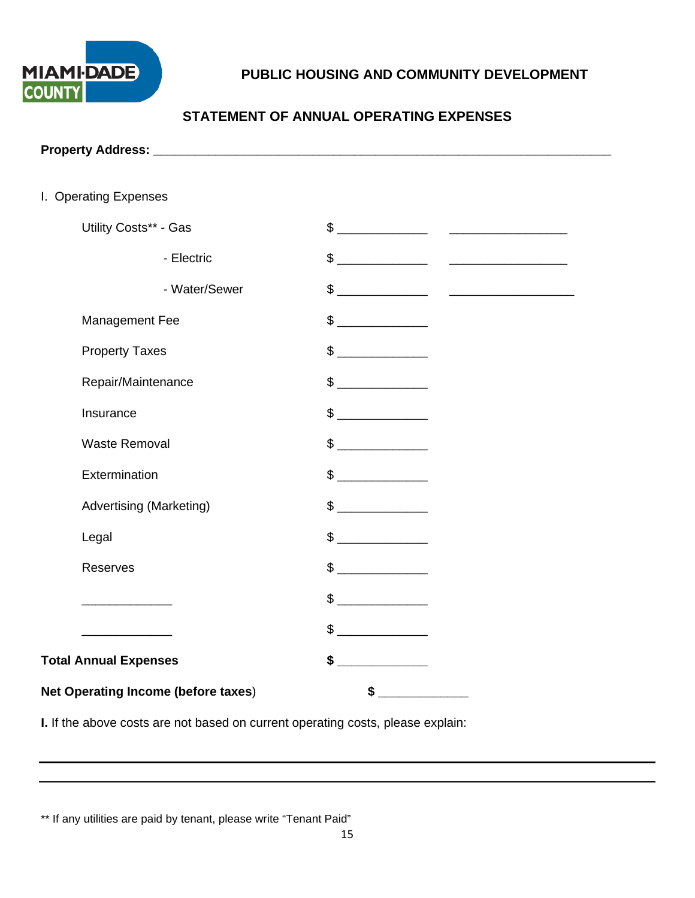

# **STATEMENT OF ANNUAL OPERATING EXPENSES**

| I. Operating Expenses                              |                                                                                                                                                                                                                                                                                                                                                     |  |  |  |
|----------------------------------------------------|-----------------------------------------------------------------------------------------------------------------------------------------------------------------------------------------------------------------------------------------------------------------------------------------------------------------------------------------------------|--|--|--|
| Utility Costs** - Gas                              |                                                                                                                                                                                                                                                                                                                                                     |  |  |  |
| - Electric                                         | $\frac{1}{2}$                                                                                                                                                                                                                                                                                                                                       |  |  |  |
| - Water/Sewer                                      | $\frac{1}{2}$ $\frac{1}{2}$ $\frac{1}{2}$ $\frac{1}{2}$ $\frac{1}{2}$ $\frac{1}{2}$ $\frac{1}{2}$ $\frac{1}{2}$ $\frac{1}{2}$ $\frac{1}{2}$ $\frac{1}{2}$ $\frac{1}{2}$ $\frac{1}{2}$ $\frac{1}{2}$ $\frac{1}{2}$ $\frac{1}{2}$ $\frac{1}{2}$ $\frac{1}{2}$ $\frac{1}{2}$ $\frac{1}{2}$ $\frac{1}{2}$ $\frac{1}{2}$                                 |  |  |  |
| Management Fee                                     | $\frac{1}{2}$                                                                                                                                                                                                                                                                                                                                       |  |  |  |
| <b>Property Taxes</b>                              | $\sim$                                                                                                                                                                                                                                                                                                                                              |  |  |  |
| Repair/Maintenance                                 | $\begin{picture}(20,20) \put(0,0){\line(1,0){100}} \put(15,0){\line(1,0){100}} \put(15,0){\line(1,0){100}} \put(15,0){\line(1,0){100}} \put(15,0){\line(1,0){100}} \put(15,0){\line(1,0){100}} \put(15,0){\line(1,0){100}} \put(15,0){\line(1,0){100}} \put(15,0){\line(1,0){100}} \put(15,0){\line(1,0){100}} \put(15,0){\line(1,0){100}} \$       |  |  |  |
| Insurance                                          |                                                                                                                                                                                                                                                                                                                                                     |  |  |  |
| <b>Waste Removal</b>                               | $\begin{picture}(20,20) \put(0,0){\line(1,0){10}} \put(15,0){\line(1,0){10}} \put(15,0){\line(1,0){10}} \put(15,0){\line(1,0){10}} \put(15,0){\line(1,0){10}} \put(15,0){\line(1,0){10}} \put(15,0){\line(1,0){10}} \put(15,0){\line(1,0){10}} \put(15,0){\line(1,0){10}} \put(15,0){\line(1,0){10}} \put(15,0){\line(1,0){10}} \put(15,0){\line(1$ |  |  |  |
| Extermination                                      |                                                                                                                                                                                                                                                                                                                                                     |  |  |  |
| <b>Advertising (Marketing)</b>                     | $\frac{1}{\sqrt{2}}$                                                                                                                                                                                                                                                                                                                                |  |  |  |
| Legal                                              | $\sim$                                                                                                                                                                                                                                                                                                                                              |  |  |  |
| Reserves                                           | $\sim$                                                                                                                                                                                                                                                                                                                                              |  |  |  |
| <u> 1989 - Johann Barbara, martin eta politika</u> | $\frac{1}{2}$                                                                                                                                                                                                                                                                                                                                       |  |  |  |
|                                                    | $\sim$                                                                                                                                                                                                                                                                                                                                              |  |  |  |
| <b>Total Annual Expenses</b>                       | <u> Liberal Maria San Barat da Ba</u><br>\$                                                                                                                                                                                                                                                                                                         |  |  |  |
| <b>Net Operating Income (before taxes)</b>         | $\sim$                                                                                                                                                                                                                                                                                                                                              |  |  |  |

**I.** If the above costs are not based on current operating costs, please explain:

\*\* If any utilities are paid by tenant, please write "Tenant Paid"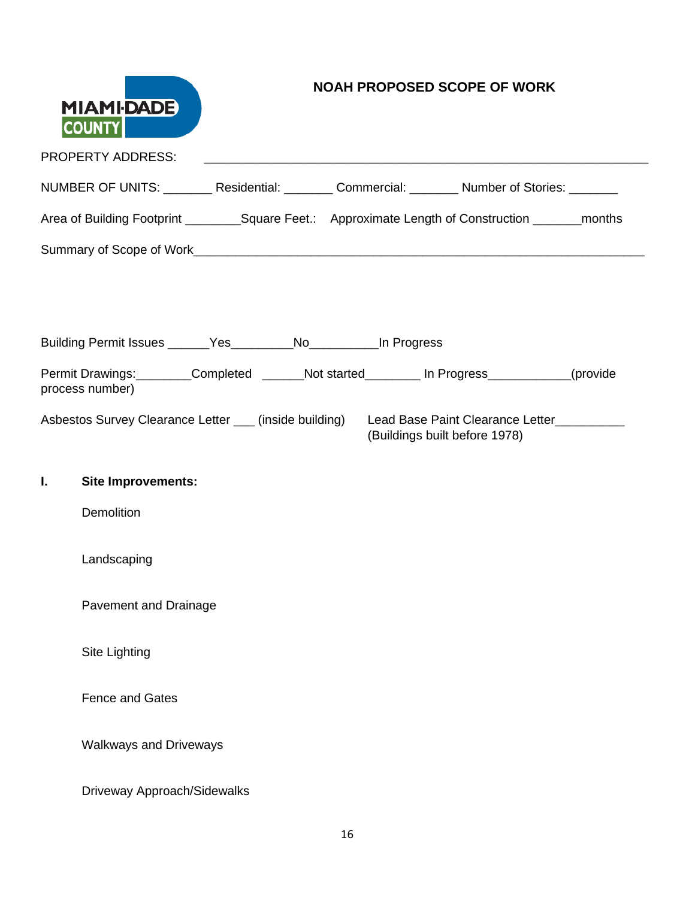|    | <b>NOAH PROPOSED SCOPE OF WORK</b><br><b>MIAMI-DADE</b><br><b>COUNTY</b>                              |  |  |                               |  |
|----|-------------------------------------------------------------------------------------------------------|--|--|-------------------------------|--|
|    | <b>PROPERTY ADDRESS:</b>                                                                              |  |  |                               |  |
|    | NUMBER OF UNITS: ________ Residential: _______ Commercial: _______ Number of Stories: _______         |  |  |                               |  |
|    | Area of Building Footprint __________Square Feet.: Approximate Length of Construction ________months  |  |  |                               |  |
|    |                                                                                                       |  |  |                               |  |
|    |                                                                                                       |  |  |                               |  |
|    | Building Permit Issues ______Yes_________No__________In Progress                                      |  |  |                               |  |
|    | Permit Drawings: Completed ______Not started________ In Progress__________(provide<br>process number) |  |  |                               |  |
|    | Asbestos Survey Clearance Letter ___ (inside building) Lead Base Paint Clearance Letter _________     |  |  | (Buildings built before 1978) |  |
| I. | <b>Site Improvements:</b>                                                                             |  |  |                               |  |
|    | Demolition                                                                                            |  |  |                               |  |
|    | Landscaping                                                                                           |  |  |                               |  |
|    | Pavement and Drainage                                                                                 |  |  |                               |  |
|    | Site Lighting                                                                                         |  |  |                               |  |
|    | <b>Fence and Gates</b>                                                                                |  |  |                               |  |
|    | <b>Walkways and Driveways</b>                                                                         |  |  |                               |  |
|    | Driveway Approach/Sidewalks                                                                           |  |  |                               |  |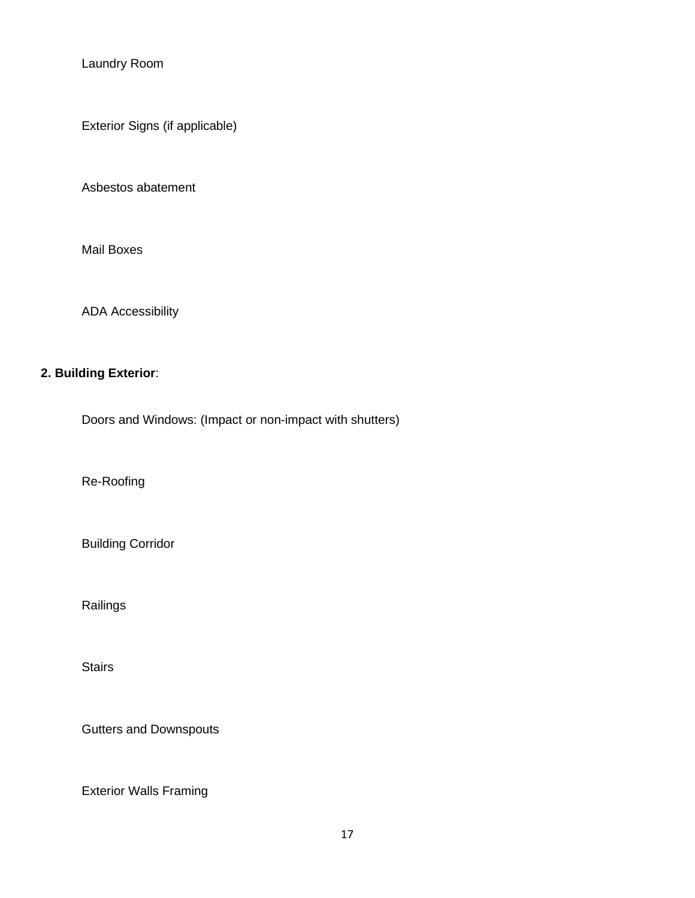Laundry Room

Exterior Signs (if applicable)

Asbestos abatement

Mail Boxes

ADA Accessibility

## **2. Building Exterior**:

Doors and Windows: (Impact or non-impact with shutters)

Re-Roofing

Building Corridor

Railings

**Stairs** 

Gutters and Downspouts

Exterior Walls Framing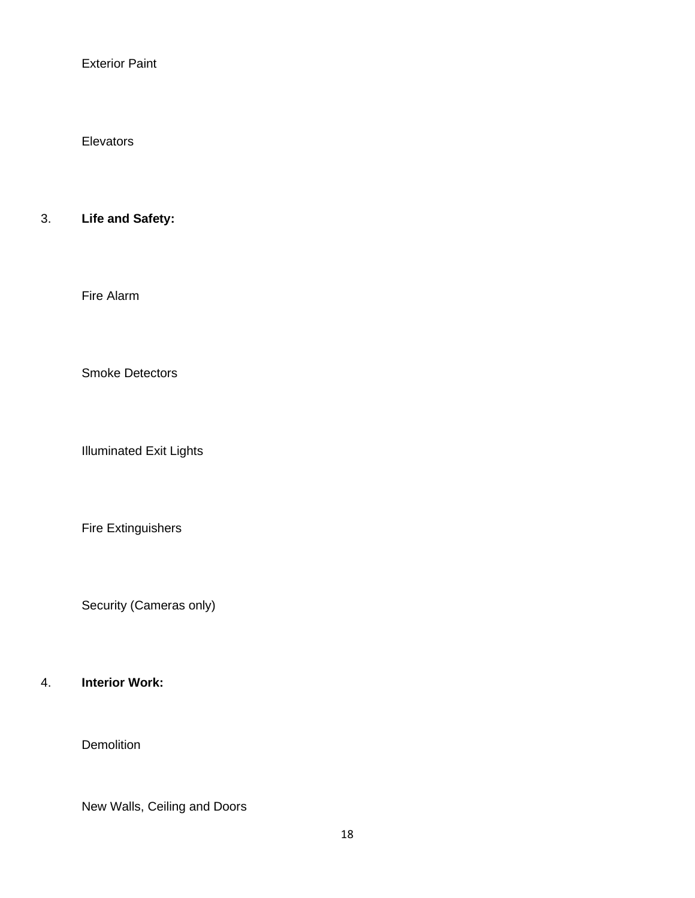Exterior Paint

**Elevators** 

### 3. **Life and Safety:**

Fire Alarm

Smoke Detectors

Illuminated Exit Lights

Fire Extinguishers

Security (Cameras only)

## 4. **Interior Work:**

**Demolition** 

New Walls, Ceiling and Doors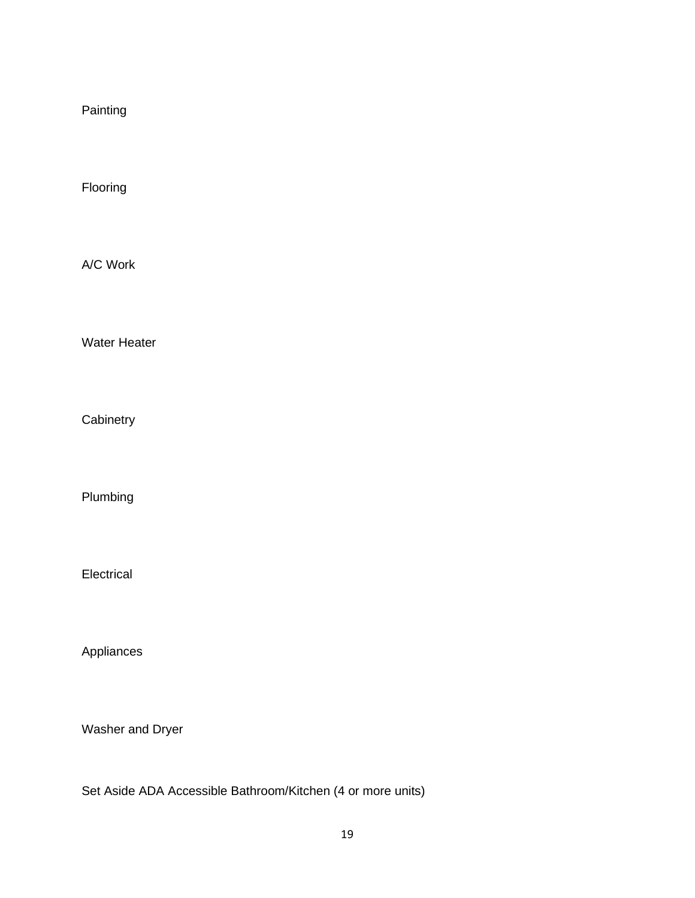Painting

Flooring

A/C Work

Water Heater

**Cabinetry** 

Plumbing

Electrical

Appliances

Washer and Dryer

Set Aside ADA Accessible Bathroom/Kitchen (4 or more units)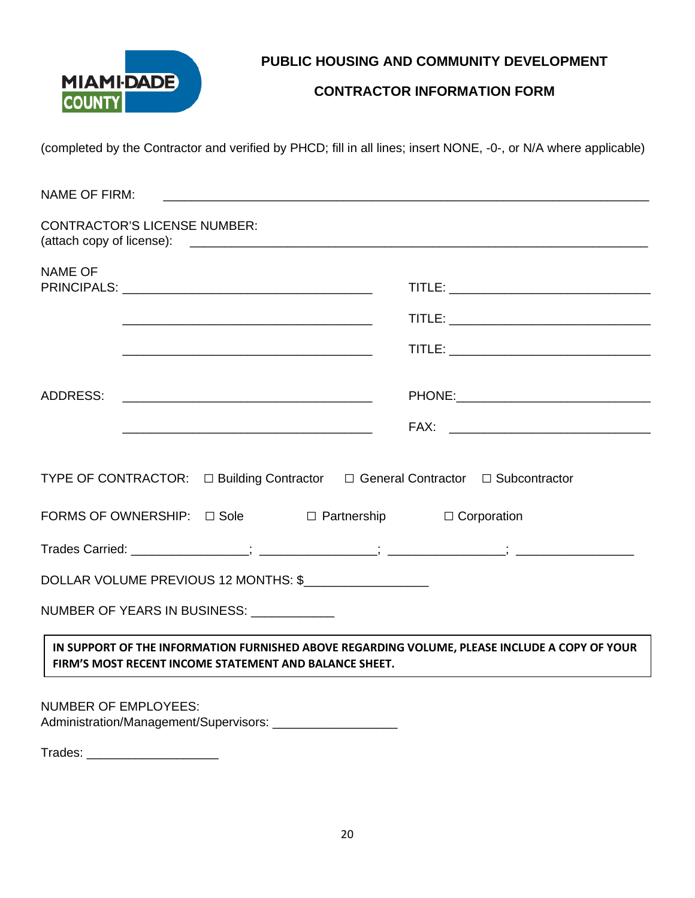

### **CONTRACTOR INFORMATION FORM**

(completed by the Contractor and verified by PHCD; fill in all lines; insert NONE, -0-, or N/A where applicable)

| <b>NAME OF FIRM:</b>                                                                                                                                    |  |
|---------------------------------------------------------------------------------------------------------------------------------------------------------|--|
| <b>CONTRACTOR'S LICENSE NUMBER:</b>                                                                                                                     |  |
| <b>NAME OF</b>                                                                                                                                          |  |
|                                                                                                                                                         |  |
|                                                                                                                                                         |  |
|                                                                                                                                                         |  |
|                                                                                                                                                         |  |
| TYPE OF CONTRACTOR: □ Building Contractor □ General Contractor □ Subcontractor<br>FORMS OF OWNERSHIP: $\Box$ Sole $\Box$ Partnership $\Box$ Corporation |  |
| DOLLAR VOLUME PREVIOUS 12 MONTHS: \$                                                                                                                    |  |
| NUMBER OF YEARS IN BUSINESS: UNIVERSED AND METALLIC UP.                                                                                                 |  |
| IN SUPPORT OF THE INFORMATION FURNISHED ABOVE REGARDING VOLUME, PLEASE INCLUDE A COPY OF YOUR<br>FIRM'S MOST RECENT INCOME STATEMENT AND BALANCE SHEET. |  |
| <b>NUMBER OF EMPLOYEES:</b><br>Administration/Management/Supervisors: _____________________                                                             |  |

Trades: \_\_\_\_\_\_\_\_\_\_\_\_\_\_\_\_\_\_\_